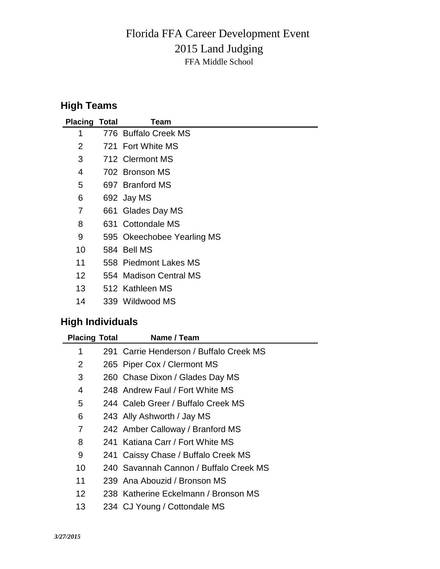## 2015 Land Judging Florida FFA Career Development Event FFA Middle School

## **High Teams**

| <b>Placing Total</b> | Team                       |
|----------------------|----------------------------|
| 1                    | 776 Buffalo Creek MS       |
| 2                    | 721 Fort White MS          |
| 3                    | 712 Clermont MS            |
| 4                    | 702 Bronson MS             |
| 5                    | 697 Branford MS            |
| 6                    | 692 Jay MS                 |
| 7                    | 661 Glades Day MS          |
| 8                    | 631 Cottondale MS          |
| 9                    | 595 Okeechobee Yearling MS |
| 10                   | 584 Bell MS                |
| 11                   | 558 Piedmont Lakes MS      |
| 12                   | 554 Madison Central MS     |
| 13                   | 512 Kathleen MS            |
| 14                   | 339 Wildwood MS            |

## **High Individuals**

| <b>Placing Total</b> |  | Name / Team                             |
|----------------------|--|-----------------------------------------|
| 1                    |  | 291 Carrie Henderson / Buffalo Creek MS |
| 2                    |  | 265 Piper Cox / Clermont MS             |
| 3                    |  | 260 Chase Dixon / Glades Day MS         |
| 4                    |  | 248 Andrew Faul / Fort White MS         |
| 5                    |  | 244 Caleb Greer / Buffalo Creek MS      |
| 6                    |  | 243 Ally Ashworth / Jay MS              |
| 7                    |  | 242 Amber Calloway / Branford MS        |
| 8                    |  | 241 Katiana Carr / Fort White MS        |
| 9                    |  | 241 Caissy Chase / Buffalo Creek MS     |
| 10                   |  | 240 Savannah Cannon / Buffalo Creek MS  |
| 11                   |  | 239 Ana Abouzid / Bronson MS            |
| $12 \overline{ }$    |  | 238 Katherine Eckelmann / Bronson MS    |
| 13                   |  | 234 CJ Young / Cottondale MS            |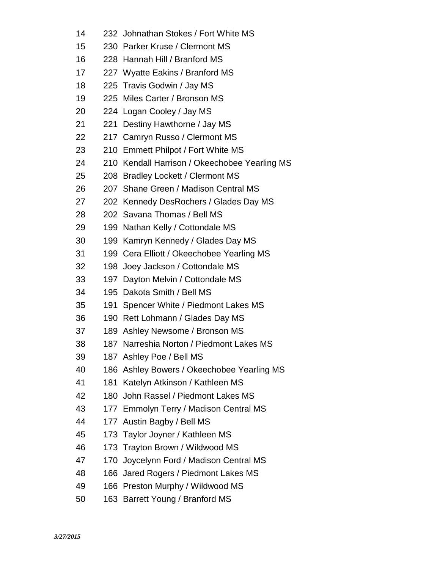- 232 Johnathan Stokes / Fort White MS
- 230 Parker Kruse / Clermont MS
- 228 Hannah Hill / Branford MS
- 227 Wyatte Eakins / Branford MS
- 225 Travis Godwin / Jay MS
- 225 Miles Carter / Bronson MS
- 224 Logan Cooley / Jay MS
- 221 Destiny Hawthorne / Jay MS
- 217 Camryn Russo / Clermont MS
- 210 Emmett Philpot / Fort White MS
- 210 Kendall Harrison / Okeechobee Yearling MS
- 208 Bradley Lockett / Clermont MS
- 207 Shane Green / Madison Central MS
- 202 Kennedy DesRochers / Glades Day MS
- 202 Savana Thomas / Bell MS
- 199 Nathan Kelly / Cottondale MS
- 199 Kamryn Kennedy / Glades Day MS
- 199 Cera Elliott / Okeechobee Yearling MS
- 198 Joey Jackson / Cottondale MS
- 197 Dayton Melvin / Cottondale MS
- 195 Dakota Smith / Bell MS
- 191 Spencer White / Piedmont Lakes MS
- 190 Rett Lohmann / Glades Day MS
- 189 Ashley Newsome / Bronson MS
- 187 Narreshia Norton / Piedmont Lakes MS
- 187 Ashley Poe / Bell MS
- 186 Ashley Bowers / Okeechobee Yearling MS
- 181 Katelyn Atkinson / Kathleen MS
- 180 John Rassel / Piedmont Lakes MS
- 177 Emmolyn Terry / Madison Central MS
- 177 Austin Bagby / Bell MS
- 173 Taylor Joyner / Kathleen MS
- 173 Trayton Brown / Wildwood MS
- 170 Joycelynn Ford / Madison Central MS
- 166 Jared Rogers / Piedmont Lakes MS
- 166 Preston Murphy / Wildwood MS
- 163 Barrett Young / Branford MS